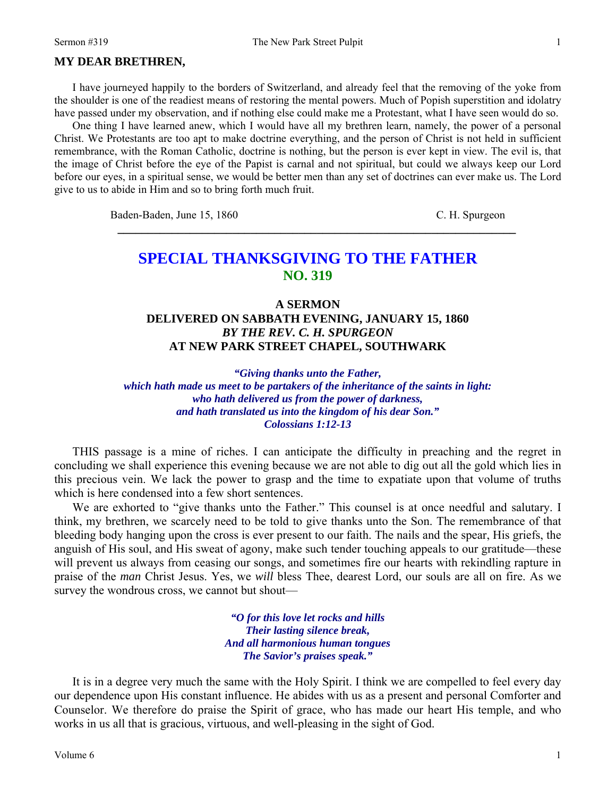## **MY DEAR BRETHREN,**

I have journeyed happily to the borders of Switzerland, and already feel that the removing of the yoke from the shoulder is one of the readiest means of restoring the mental powers. Much of Popish superstition and idolatry have passed under my observation, and if nothing else could make me a Protestant, what I have seen would do so.

One thing I have learned anew, which I would have all my brethren learn, namely, the power of a personal Christ. We Protestants are too apt to make doctrine everything, and the person of Christ is not held in sufficient remembrance, with the Roman Catholic, doctrine is nothing, but the person is ever kept in view. The evil is, that the image of Christ before the eye of the Papist is carnal and not spiritual, but could we always keep our Lord before our eyes, in a spiritual sense, we would be better men than any set of doctrines can ever make us. The Lord give to us to abide in Him and so to bring forth much fruit.

Baden-Baden, June 15, 1860<sup>*c*</sup> C. H. Spurgeon

# **SPECIAL THANKSGIVING TO THE FATHER NO. 319**

**\_\_\_\_\_\_\_\_\_\_\_\_\_\_\_\_\_\_\_\_\_\_\_\_\_\_\_\_\_\_\_\_\_\_\_\_\_\_\_\_\_\_\_\_\_\_\_\_\_\_\_\_\_\_\_\_\_\_\_\_\_\_\_\_\_\_** 

## **A SERMON DELIVERED ON SABBATH EVENING, JANUARY 15, 1860**  *BY THE REV. C. H. SPURGEON*  **AT NEW PARK STREET CHAPEL, SOUTHWARK**

*"Giving thanks unto the Father, which hath made us meet to be partakers of the inheritance of the saints in light: who hath delivered us from the power of darkness, and hath translated us into the kingdom of his dear Son." Colossians 1:12-13* 

THIS passage is a mine of riches. I can anticipate the difficulty in preaching and the regret in concluding we shall experience this evening because we are not able to dig out all the gold which lies in this precious vein. We lack the power to grasp and the time to expatiate upon that volume of truths which is here condensed into a few short sentences.

We are exhorted to "give thanks unto the Father." This counsel is at once needful and salutary. I think, my brethren, we scarcely need to be told to give thanks unto the Son. The remembrance of that bleeding body hanging upon the cross is ever present to our faith. The nails and the spear, His griefs, the anguish of His soul, and His sweat of agony, make such tender touching appeals to our gratitude—these will prevent us always from ceasing our songs, and sometimes fire our hearts with rekindling rapture in praise of the *man* Christ Jesus. Yes, we *will* bless Thee, dearest Lord, our souls are all on fire. As we survey the wondrous cross, we cannot but shout—

> *"O for this love let rocks and hills Their lasting silence break, And all harmonious human tongues The Savior's praises speak."*

It is in a degree very much the same with the Holy Spirit. I think we are compelled to feel every day our dependence upon His constant influence. He abides with us as a present and personal Comforter and Counselor. We therefore do praise the Spirit of grace, who has made our heart His temple, and who works in us all that is gracious, virtuous, and well-pleasing in the sight of God.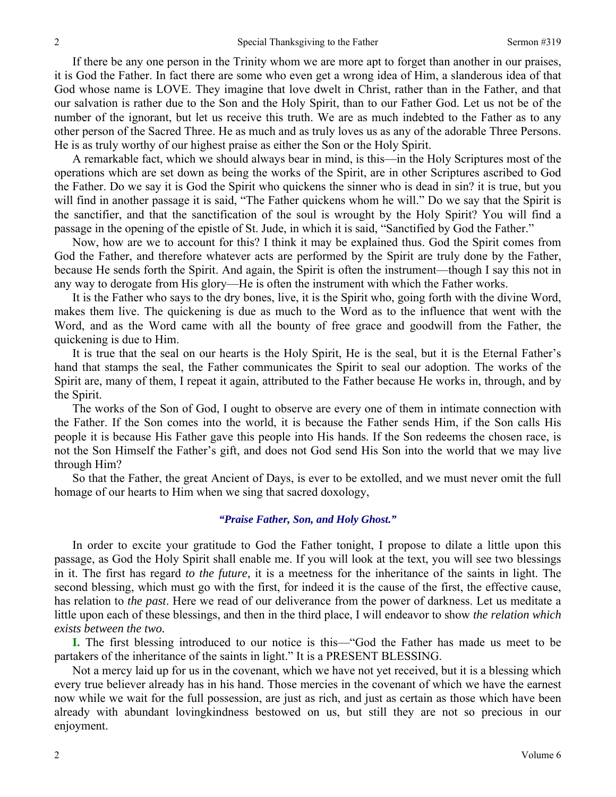If there be any one person in the Trinity whom we are more apt to forget than another in our praises, it is God the Father. In fact there are some who even get a wrong idea of Him, a slanderous idea of that God whose name is LOVE. They imagine that love dwelt in Christ, rather than in the Father, and that our salvation is rather due to the Son and the Holy Spirit, than to our Father God. Let us not be of the number of the ignorant, but let us receive this truth. We are as much indebted to the Father as to any other person of the Sacred Three. He as much and as truly loves us as any of the adorable Three Persons. He is as truly worthy of our highest praise as either the Son or the Holy Spirit.

A remarkable fact, which we should always bear in mind, is this—in the Holy Scriptures most of the operations which are set down as being the works of the Spirit, are in other Scriptures ascribed to God the Father. Do we say it is God the Spirit who quickens the sinner who is dead in sin? it is true, but you will find in another passage it is said, "The Father quickens whom he will." Do we say that the Spirit is the sanctifier, and that the sanctification of the soul is wrought by the Holy Spirit? You will find a passage in the opening of the epistle of St. Jude, in which it is said, "Sanctified by God the Father."

Now, how are we to account for this? I think it may be explained thus. God the Spirit comes from God the Father, and therefore whatever acts are performed by the Spirit are truly done by the Father, because He sends forth the Spirit. And again, the Spirit is often the instrument—though I say this not in any way to derogate from His glory—He is often the instrument with which the Father works.

It is the Father who says to the dry bones, live, it is the Spirit who, going forth with the divine Word, makes them live. The quickening is due as much to the Word as to the influence that went with the Word, and as the Word came with all the bounty of free grace and goodwill from the Father, the quickening is due to Him.

It is true that the seal on our hearts is the Holy Spirit, He is the seal, but it is the Eternal Father's hand that stamps the seal, the Father communicates the Spirit to seal our adoption. The works of the Spirit are, many of them, I repeat it again, attributed to the Father because He works in, through, and by the Spirit.

The works of the Son of God, I ought to observe are every one of them in intimate connection with the Father. If the Son comes into the world, it is because the Father sends Him, if the Son calls His people it is because His Father gave this people into His hands. If the Son redeems the chosen race, is not the Son Himself the Father's gift, and does not God send His Son into the world that we may live through Him?

So that the Father, the great Ancient of Days, is ever to be extolled, and we must never omit the full homage of our hearts to Him when we sing that sacred doxology,

### *"Praise Father, Son, and Holy Ghost."*

In order to excite your gratitude to God the Father tonight, I propose to dilate a little upon this passage, as God the Holy Spirit shall enable me. If you will look at the text, you will see two blessings in it. The first has regard *to the future,* it is a meetness for the inheritance of the saints in light. The second blessing, which must go with the first, for indeed it is the cause of the first, the effective cause, has relation to *the past*. Here we read of our deliverance from the power of darkness. Let us meditate a little upon each of these blessings, and then in the third place, I will endeavor to show *the relation which exists between the two.*

**I.** The first blessing introduced to our notice is this—"God the Father has made us meet to be partakers of the inheritance of the saints in light." It is a PRESENT BLESSING.

Not a mercy laid up for us in the covenant, which we have not yet received, but it is a blessing which every true believer already has in his hand. Those mercies in the covenant of which we have the earnest now while we wait for the full possession, are just as rich, and just as certain as those which have been already with abundant lovingkindness bestowed on us, but still they are not so precious in our enjoyment.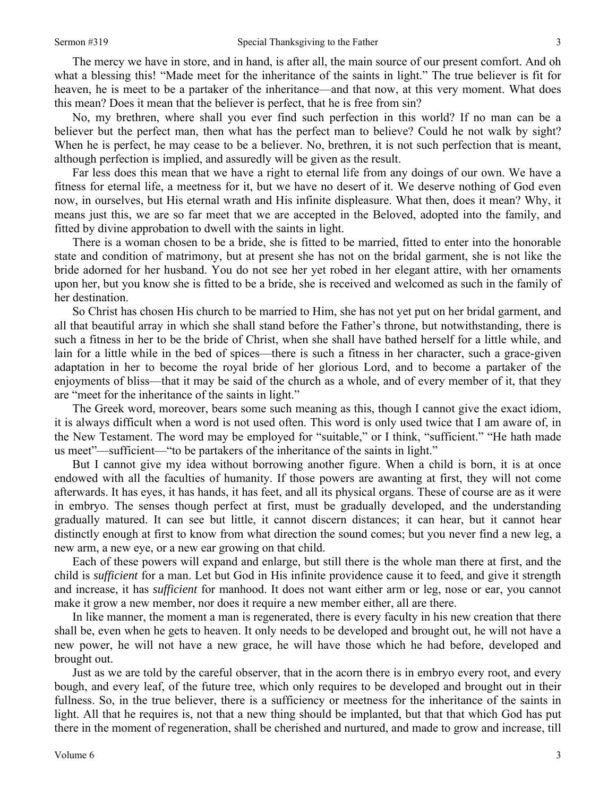The mercy we have in store, and in hand, is after all, the main source of our present comfort. And oh what a blessing this! "Made meet for the inheritance of the saints in light." The true believer is fit for heaven, he is meet to be a partaker of the inheritance—and that now, at this very moment. What does this mean? Does it mean that the believer is perfect, that he is free from sin?

No, my brethren, where shall you ever find such perfection in this world? If no man can be a believer but the perfect man, then what has the perfect man to believe? Could he not walk by sight? When he is perfect, he may cease to be a believer. No, brethren, it is not such perfection that is meant, although perfection is implied, and assuredly will be given as the result.

Far less does this mean that we have a right to eternal life from any doings of our own. We have a fitness for eternal life, a meetness for it, but we have no desert of it. We deserve nothing of God even now, in ourselves, but His eternal wrath and His infinite displeasure. What then, does it mean? Why, it means just this, we are so far meet that we are accepted in the Beloved, adopted into the family, and fitted by divine approbation to dwell with the saints in light.

There is a woman chosen to be a bride, she is fitted to be married, fitted to enter into the honorable state and condition of matrimony, but at present she has not on the bridal garment, she is not like the bride adorned for her husband. You do not see her yet robed in her elegant attire, with her ornaments upon her, but you know she is fitted to be a bride, she is received and welcomed as such in the family of her destination.

So Christ has chosen His church to be married to Him, she has not yet put on her bridal garment, and all that beautiful array in which she shall stand before the Father's throne, but notwithstanding, there is such a fitness in her to be the bride of Christ, when she shall have bathed herself for a little while, and lain for a little while in the bed of spices—there is such a fitness in her character, such a grace-given adaptation in her to become the royal bride of her glorious Lord, and to become a partaker of the enjoyments of bliss—that it may be said of the church as a whole, and of every member of it, that they are "meet for the inheritance of the saints in light."

The Greek word, moreover, bears some such meaning as this, though I cannot give the exact idiom, it is always difficult when a word is not used often. This word is only used twice that I am aware of, in the New Testament. The word may be employed for "suitable," or I think, "sufficient." "He hath made us meet"—sufficient—"to be partakers of the inheritance of the saints in light."

But I cannot give my idea without borrowing another figure. When a child is born, it is at once endowed with all the faculties of humanity. If those powers are awanting at first, they will not come afterwards. It has eyes, it has hands, it has feet, and all its physical organs. These of course are as it were in embryo. The senses though perfect at first, must be gradually developed, and the understanding gradually matured. It can see but little, it cannot discern distances; it can hear, but it cannot hear distinctly enough at first to know from what direction the sound comes; but you never find a new leg, a new arm, a new eye, or a new ear growing on that child.

Each of these powers will expand and enlarge, but still there is the whole man there at first, and the child is *sufficient* for a man. Let but God in His infinite providence cause it to feed, and give it strength and increase, it has *sufficient* for manhood. It does not want either arm or leg, nose or ear, you cannot make it grow a new member, nor does it require a new member either, all are there.

In like manner, the moment a man is regenerated, there is every faculty in his new creation that there shall be, even when he gets to heaven. It only needs to be developed and brought out, he will not have a new power, he will not have a new grace, he will have those which he had before, developed and brought out.

Just as we are told by the careful observer, that in the acorn there is in embryo every root, and every bough, and every leaf, of the future tree, which only requires to be developed and brought out in their fullness. So, in the true believer, there is a sufficiency or meetness for the inheritance of the saints in light. All that he requires is, not that a new thing should be implanted, but that that which God has put there in the moment of regeneration, shall be cherished and nurtured, and made to grow and increase, till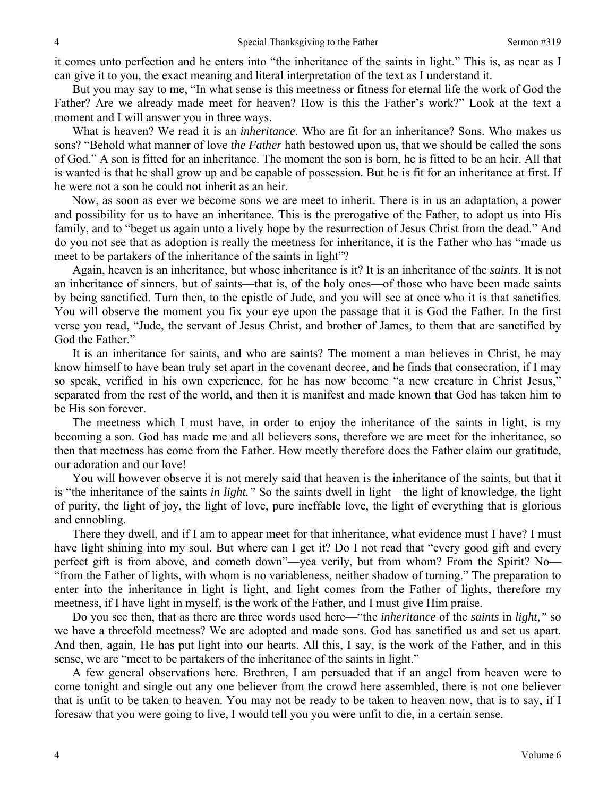it comes unto perfection and he enters into "the inheritance of the saints in light." This is, as near as I can give it to you, the exact meaning and literal interpretation of the text as I understand it.

But you may say to me, "In what sense is this meetness or fitness for eternal life the work of God the Father? Are we already made meet for heaven? How is this the Father's work?" Look at the text a moment and I will answer you in three ways.

What is heaven? We read it is an *inheritance*. Who are fit for an inheritance? Sons. Who makes us sons? "Behold what manner of love *the Father* hath bestowed upon us, that we should be called the sons of God." A son is fitted for an inheritance. The moment the son is born, he is fitted to be an heir. All that is wanted is that he shall grow up and be capable of possession. But he is fit for an inheritance at first. If he were not a son he could not inherit as an heir.

Now, as soon as ever we become sons we are meet to inherit. There is in us an adaptation, a power and possibility for us to have an inheritance. This is the prerogative of the Father, to adopt us into His family, and to "beget us again unto a lively hope by the resurrection of Jesus Christ from the dead." And do you not see that as adoption is really the meetness for inheritance, it is the Father who has "made us meet to be partakers of the inheritance of the saints in light"?

Again, heaven is an inheritance, but whose inheritance is it? It is an inheritance of the *saints*. It is not an inheritance of sinners, but of saints—that is, of the holy ones—of those who have been made saints by being sanctified. Turn then, to the epistle of Jude, and you will see at once who it is that sanctifies. You will observe the moment you fix your eye upon the passage that it is God the Father. In the first verse you read, "Jude, the servant of Jesus Christ, and brother of James, to them that are sanctified by God the Father."

It is an inheritance for saints, and who are saints? The moment a man believes in Christ, he may know himself to have bean truly set apart in the covenant decree, and he finds that consecration, if I may so speak, verified in his own experience, for he has now become "a new creature in Christ Jesus," separated from the rest of the world, and then it is manifest and made known that God has taken him to be His son forever.

The meetness which I must have, in order to enjoy the inheritance of the saints in light, is my becoming a son. God has made me and all believers sons, therefore we are meet for the inheritance, so then that meetness has come from the Father. How meetly therefore does the Father claim our gratitude, our adoration and our love!

You will however observe it is not merely said that heaven is the inheritance of the saints, but that it is "the inheritance of the saints *in light."* So the saints dwell in light—the light of knowledge, the light of purity, the light of joy, the light of love, pure ineffable love, the light of everything that is glorious and ennobling.

There they dwell, and if I am to appear meet for that inheritance, what evidence must I have? I must have light shining into my soul. But where can I get it? Do I not read that "every good gift and every perfect gift is from above, and cometh down"—yea verily, but from whom? From the Spirit? No— "from the Father of lights, with whom is no variableness, neither shadow of turning." The preparation to enter into the inheritance in light is light, and light comes from the Father of lights, therefore my meetness, if I have light in myself, is the work of the Father, and I must give Him praise.

Do you see then, that as there are three words used here—"the *inheritance* of the *saints* in *light,"* so we have a threefold meetness? We are adopted and made sons. God has sanctified us and set us apart. And then, again, He has put light into our hearts. All this, I say, is the work of the Father, and in this sense, we are "meet to be partakers of the inheritance of the saints in light."

A few general observations here. Brethren, I am persuaded that if an angel from heaven were to come tonight and single out any one believer from the crowd here assembled, there is not one believer that is unfit to be taken to heaven. You may not be ready to be taken to heaven now, that is to say, if I foresaw that you were going to live, I would tell you you were unfit to die, in a certain sense.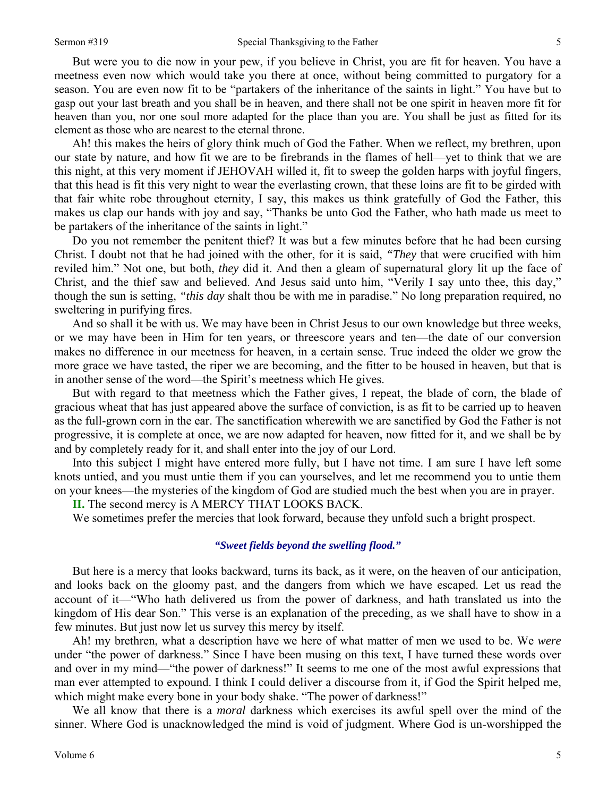But were you to die now in your pew, if you believe in Christ, you are fit for heaven. You have a meetness even now which would take you there at once, without being committed to purgatory for a season. You are even now fit to be "partakers of the inheritance of the saints in light." You have but to gasp out your last breath and you shall be in heaven, and there shall not be one spirit in heaven more fit for heaven than you, nor one soul more adapted for the place than you are. You shall be just as fitted for its element as those who are nearest to the eternal throne.

Ah! this makes the heirs of glory think much of God the Father. When we reflect, my brethren, upon our state by nature, and how fit we are to be firebrands in the flames of hell—yet to think that we are this night, at this very moment if JEHOVAH willed it, fit to sweep the golden harps with joyful fingers, that this head is fit this very night to wear the everlasting crown, that these loins are fit to be girded with that fair white robe throughout eternity, I say, this makes us think gratefully of God the Father, this makes us clap our hands with joy and say, "Thanks be unto God the Father, who hath made us meet to be partakers of the inheritance of the saints in light."

Do you not remember the penitent thief? It was but a few minutes before that he had been cursing Christ. I doubt not that he had joined with the other, for it is said, *"They* that were crucified with him reviled him." Not one, but both, *they* did it. And then a gleam of supernatural glory lit up the face of Christ, and the thief saw and believed. And Jesus said unto him, "Verily I say unto thee, this day," though the sun is setting, *"this day* shalt thou be with me in paradise." No long preparation required, no sweltering in purifying fires.

And so shall it be with us. We may have been in Christ Jesus to our own knowledge but three weeks, or we may have been in Him for ten years, or threescore years and ten—the date of our conversion makes no difference in our meetness for heaven, in a certain sense. True indeed the older we grow the more grace we have tasted, the riper we are becoming, and the fitter to be housed in heaven, but that is in another sense of the word—the Spirit's meetness which He gives.

But with regard to that meetness which the Father gives, I repeat, the blade of corn, the blade of gracious wheat that has just appeared above the surface of conviction, is as fit to be carried up to heaven as the full-grown corn in the ear. The sanctification wherewith we are sanctified by God the Father is not progressive, it is complete at once, we are now adapted for heaven, now fitted for it, and we shall be by and by completely ready for it, and shall enter into the joy of our Lord.

Into this subject I might have entered more fully, but I have not time. I am sure I have left some knots untied, and you must untie them if you can yourselves, and let me recommend you to untie them on your knees—the mysteries of the kingdom of God are studied much the best when you are in prayer.

**II.** The second mercy is A MERCY THAT LOOKS BACK.

We sometimes prefer the mercies that look forward, because they unfold such a bright prospect.

#### *"Sweet fields beyond the swelling flood."*

But here is a mercy that looks backward, turns its back, as it were, on the heaven of our anticipation, and looks back on the gloomy past, and the dangers from which we have escaped. Let us read the account of it—"Who hath delivered us from the power of darkness, and hath translated us into the kingdom of His dear Son." This verse is an explanation of the preceding, as we shall have to show in a few minutes. But just now let us survey this mercy by itself.

Ah! my brethren, what a description have we here of what matter of men we used to be. We *were* under "the power of darkness." Since I have been musing on this text, I have turned these words over and over in my mind—"the power of darkness!" It seems to me one of the most awful expressions that man ever attempted to expound. I think I could deliver a discourse from it, if God the Spirit helped me, which might make every bone in your body shake. "The power of darkness!"

We all know that there is a *moral* darkness which exercises its awful spell over the mind of the sinner. Where God is unacknowledged the mind is void of judgment. Where God is un-worshipped the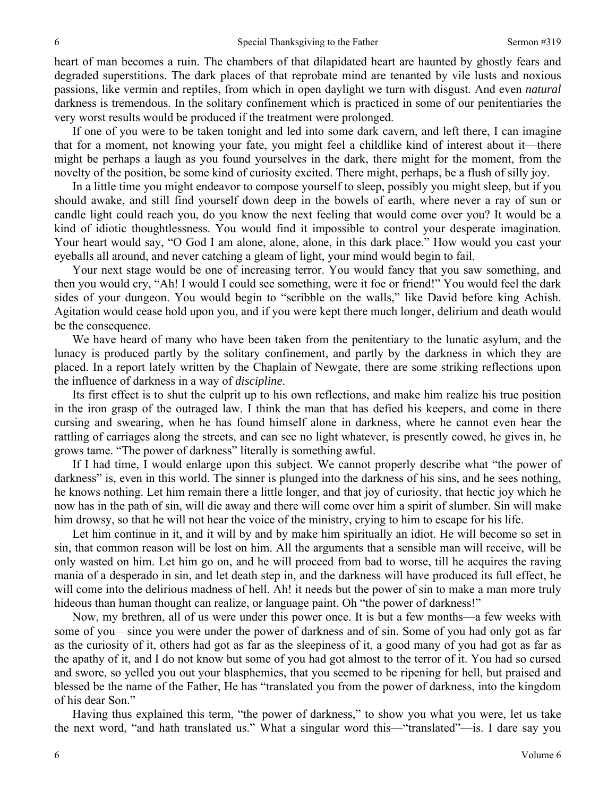heart of man becomes a ruin. The chambers of that dilapidated heart are haunted by ghostly fears and degraded superstitions. The dark places of that reprobate mind are tenanted by vile lusts and noxious passions, like vermin and reptiles, from which in open daylight we turn with disgust. And even *natural* darkness is tremendous. In the solitary confinement which is practiced in some of our penitentiaries the very worst results would be produced if the treatment were prolonged.

If one of you were to be taken tonight and led into some dark cavern, and left there, I can imagine that for a moment, not knowing your fate, you might feel a childlike kind of interest about it—there might be perhaps a laugh as you found yourselves in the dark, there might for the moment, from the novelty of the position, be some kind of curiosity excited. There might, perhaps, be a flush of silly joy.

In a little time you might endeavor to compose yourself to sleep, possibly you might sleep, but if you should awake, and still find yourself down deep in the bowels of earth, where never a ray of sun or candle light could reach you, do you know the next feeling that would come over you? It would be a kind of idiotic thoughtlessness. You would find it impossible to control your desperate imagination. Your heart would say, "O God I am alone, alone, alone, in this dark place." How would you cast your eyeballs all around, and never catching a gleam of light, your mind would begin to fail.

Your next stage would be one of increasing terror. You would fancy that you saw something, and then you would cry, "Ah! I would I could see something, were it foe or friend!" You would feel the dark sides of your dungeon. You would begin to "scribble on the walls," like David before king Achish. Agitation would cease hold upon you, and if you were kept there much longer, delirium and death would be the consequence.

We have heard of many who have been taken from the penitentiary to the lunatic asylum, and the lunacy is produced partly by the solitary confinement, and partly by the darkness in which they are placed. In a report lately written by the Chaplain of Newgate, there are some striking reflections upon the influence of darkness in a way of *discipline*.

Its first effect is to shut the culprit up to his own reflections, and make him realize his true position in the iron grasp of the outraged law. I think the man that has defied his keepers, and come in there cursing and swearing, when he has found himself alone in darkness, where he cannot even hear the rattling of carriages along the streets, and can see no light whatever, is presently cowed, he gives in, he grows tame. "The power of darkness" literally is something awful.

If I had time, I would enlarge upon this subject. We cannot properly describe what "the power of darkness" is, even in this world. The sinner is plunged into the darkness of his sins, and he sees nothing, he knows nothing. Let him remain there a little longer, and that joy of curiosity, that hectic joy which he now has in the path of sin, will die away and there will come over him a spirit of slumber. Sin will make him drowsy, so that he will not hear the voice of the ministry, crying to him to escape for his life.

Let him continue in it, and it will by and by make him spiritually an idiot. He will become so set in sin, that common reason will be lost on him. All the arguments that a sensible man will receive, will be only wasted on him. Let him go on, and he will proceed from bad to worse, till he acquires the raving mania of a desperado in sin, and let death step in, and the darkness will have produced its full effect, he will come into the delirious madness of hell. Ah! it needs but the power of sin to make a man more truly hideous than human thought can realize, or language paint. Oh "the power of darkness!"

Now, my brethren, all of us were under this power once. It is but a few months—a few weeks with some of you—since you were under the power of darkness and of sin. Some of you had only got as far as the curiosity of it, others had got as far as the sleepiness of it, a good many of you had got as far as the apathy of it, and I do not know but some of you had got almost to the terror of it. You had so cursed and swore, so yelled you out your blasphemies, that you seemed to be ripening for hell, but praised and blessed be the name of the Father, He has "translated you from the power of darkness, into the kingdom of his dear Son."

Having thus explained this term, "the power of darkness," to show you what you were, let us take the next word, "and hath translated us." What a singular word this—"translated"—is. I dare say you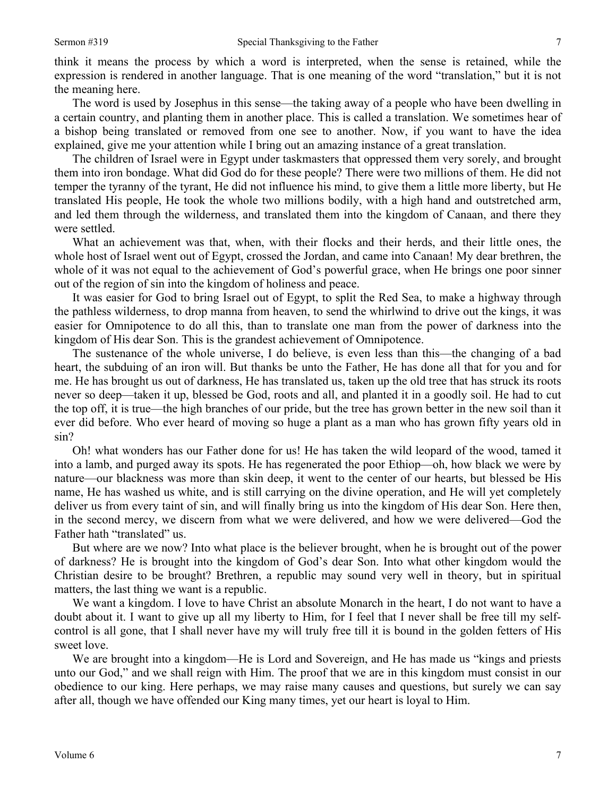think it means the process by which a word is interpreted, when the sense is retained, while the expression is rendered in another language. That is one meaning of the word "translation," but it is not the meaning here.

The word is used by Josephus in this sense—the taking away of a people who have been dwelling in a certain country, and planting them in another place. This is called a translation. We sometimes hear of a bishop being translated or removed from one see to another. Now, if you want to have the idea explained, give me your attention while I bring out an amazing instance of a great translation.

The children of Israel were in Egypt under taskmasters that oppressed them very sorely, and brought them into iron bondage. What did God do for these people? There were two millions of them. He did not temper the tyranny of the tyrant, He did not influence his mind, to give them a little more liberty, but He translated His people, He took the whole two millions bodily, with a high hand and outstretched arm, and led them through the wilderness, and translated them into the kingdom of Canaan, and there they were settled.

What an achievement was that, when, with their flocks and their herds, and their little ones, the whole host of Israel went out of Egypt, crossed the Jordan, and came into Canaan! My dear brethren, the whole of it was not equal to the achievement of God's powerful grace, when He brings one poor sinner out of the region of sin into the kingdom of holiness and peace.

It was easier for God to bring Israel out of Egypt, to split the Red Sea, to make a highway through the pathless wilderness, to drop manna from heaven, to send the whirlwind to drive out the kings, it was easier for Omnipotence to do all this, than to translate one man from the power of darkness into the kingdom of His dear Son. This is the grandest achievement of Omnipotence.

The sustenance of the whole universe, I do believe, is even less than this—the changing of a bad heart, the subduing of an iron will. But thanks be unto the Father, He has done all that for you and for me. He has brought us out of darkness, He has translated us, taken up the old tree that has struck its roots never so deep—taken it up, blessed be God, roots and all, and planted it in a goodly soil. He had to cut the top off, it is true—the high branches of our pride, but the tree has grown better in the new soil than it ever did before. Who ever heard of moving so huge a plant as a man who has grown fifty years old in sin?

Oh! what wonders has our Father done for us! He has taken the wild leopard of the wood, tamed it into a lamb, and purged away its spots. He has regenerated the poor Ethiop—oh, how black we were by nature—our blackness was more than skin deep, it went to the center of our hearts, but blessed be His name, He has washed us white, and is still carrying on the divine operation, and He will yet completely deliver us from every taint of sin, and will finally bring us into the kingdom of His dear Son. Here then, in the second mercy, we discern from what we were delivered, and how we were delivered—God the Father hath "translated" us.

But where are we now? Into what place is the believer brought, when he is brought out of the power of darkness? He is brought into the kingdom of God's dear Son. Into what other kingdom would the Christian desire to be brought? Brethren, a republic may sound very well in theory, but in spiritual matters, the last thing we want is a republic.

We want a kingdom. I love to have Christ an absolute Monarch in the heart, I do not want to have a doubt about it. I want to give up all my liberty to Him, for I feel that I never shall be free till my selfcontrol is all gone, that I shall never have my will truly free till it is bound in the golden fetters of His sweet love.

We are brought into a kingdom—He is Lord and Sovereign, and He has made us "kings and priests unto our God," and we shall reign with Him. The proof that we are in this kingdom must consist in our obedience to our king. Here perhaps, we may raise many causes and questions, but surely we can say after all, though we have offended our King many times, yet our heart is loyal to Him.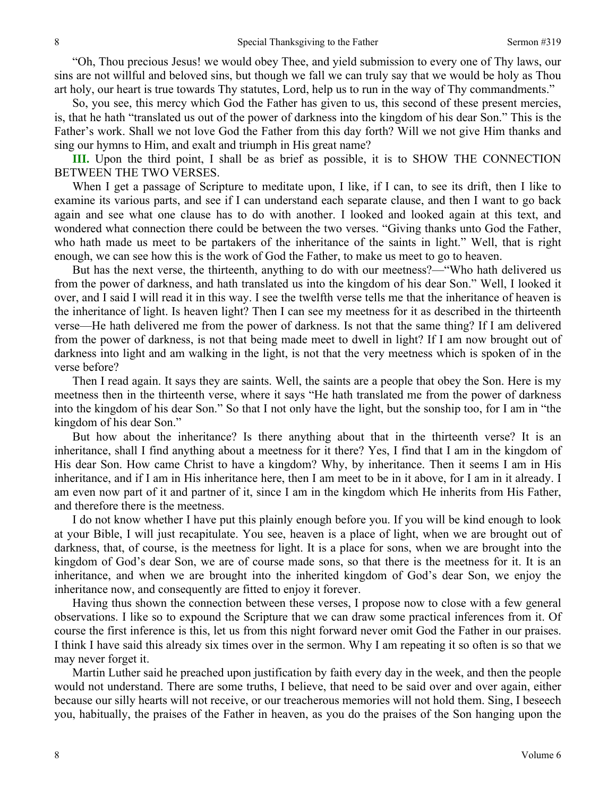"Oh, Thou precious Jesus! we would obey Thee, and yield submission to every one of Thy laws, our sins are not willful and beloved sins, but though we fall we can truly say that we would be holy as Thou art holy, our heart is true towards Thy statutes, Lord, help us to run in the way of Thy commandments."

So, you see, this mercy which God the Father has given to us, this second of these present mercies, is, that he hath "translated us out of the power of darkness into the kingdom of his dear Son." This is the Father's work. Shall we not love God the Father from this day forth? Will we not give Him thanks and sing our hymns to Him, and exalt and triumph in His great name?

**III.** Upon the third point, I shall be as brief as possible, it is to SHOW THE CONNECTION BETWEEN THE TWO VERSES.

When I get a passage of Scripture to meditate upon, I like, if I can, to see its drift, then I like to examine its various parts, and see if I can understand each separate clause, and then I want to go back again and see what one clause has to do with another. I looked and looked again at this text, and wondered what connection there could be between the two verses. "Giving thanks unto God the Father, who hath made us meet to be partakers of the inheritance of the saints in light." Well, that is right enough, we can see how this is the work of God the Father, to make us meet to go to heaven.

But has the next verse, the thirteenth, anything to do with our meetness?—"Who hath delivered us from the power of darkness, and hath translated us into the kingdom of his dear Son." Well, I looked it over, and I said I will read it in this way. I see the twelfth verse tells me that the inheritance of heaven is the inheritance of light. Is heaven light? Then I can see my meetness for it as described in the thirteenth verse—He hath delivered me from the power of darkness. Is not that the same thing? If I am delivered from the power of darkness, is not that being made meet to dwell in light? If I am now brought out of darkness into light and am walking in the light, is not that the very meetness which is spoken of in the verse before?

Then I read again. It says they are saints. Well, the saints are a people that obey the Son. Here is my meetness then in the thirteenth verse, where it says "He hath translated me from the power of darkness into the kingdom of his dear Son." So that I not only have the light, but the sonship too, for I am in "the kingdom of his dear Son."

But how about the inheritance? Is there anything about that in the thirteenth verse? It is an inheritance, shall I find anything about a meetness for it there? Yes, I find that I am in the kingdom of His dear Son. How came Christ to have a kingdom? Why, by inheritance. Then it seems I am in His inheritance, and if I am in His inheritance here, then I am meet to be in it above, for I am in it already. I am even now part of it and partner of it, since I am in the kingdom which He inherits from His Father, and therefore there is the meetness.

I do not know whether I have put this plainly enough before you. If you will be kind enough to look at your Bible, I will just recapitulate. You see, heaven is a place of light, when we are brought out of darkness, that, of course, is the meetness for light. It is a place for sons, when we are brought into the kingdom of God's dear Son, we are of course made sons, so that there is the meetness for it. It is an inheritance, and when we are brought into the inherited kingdom of God's dear Son, we enjoy the inheritance now, and consequently are fitted to enjoy it forever.

Having thus shown the connection between these verses, I propose now to close with a few general observations. I like so to expound the Scripture that we can draw some practical inferences from it. Of course the first inference is this, let us from this night forward never omit God the Father in our praises. I think I have said this already six times over in the sermon. Why I am repeating it so often is so that we may never forget it.

Martin Luther said he preached upon justification by faith every day in the week, and then the people would not understand. There are some truths, I believe, that need to be said over and over again, either because our silly hearts will not receive, or our treacherous memories will not hold them. Sing, I beseech you, habitually, the praises of the Father in heaven, as you do the praises of the Son hanging upon the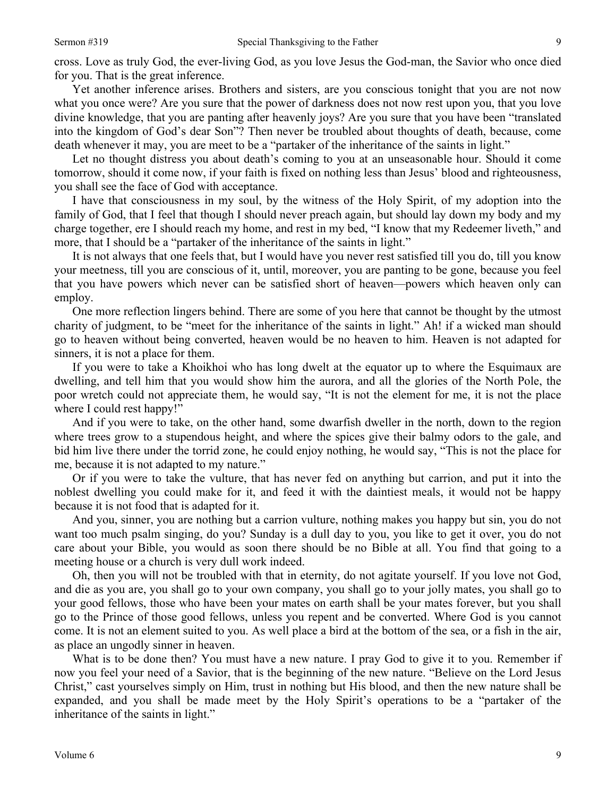Yet another inference arises. Brothers and sisters, are you conscious tonight that you are not now what you once were? Are you sure that the power of darkness does not now rest upon you, that you love divine knowledge, that you are panting after heavenly joys? Are you sure that you have been "translated into the kingdom of God's dear Son"? Then never be troubled about thoughts of death, because, come death whenever it may, you are meet to be a "partaker of the inheritance of the saints in light."

Let no thought distress you about death's coming to you at an unseasonable hour. Should it come tomorrow, should it come now, if your faith is fixed on nothing less than Jesus' blood and righteousness, you shall see the face of God with acceptance.

I have that consciousness in my soul, by the witness of the Holy Spirit, of my adoption into the family of God, that I feel that though I should never preach again, but should lay down my body and my charge together, ere I should reach my home, and rest in my bed, "I know that my Redeemer liveth," and more, that I should be a "partaker of the inheritance of the saints in light."

It is not always that one feels that, but I would have you never rest satisfied till you do, till you know your meetness, till you are conscious of it, until, moreover, you are panting to be gone, because you feel that you have powers which never can be satisfied short of heaven—powers which heaven only can employ.

One more reflection lingers behind. There are some of you here that cannot be thought by the utmost charity of judgment, to be "meet for the inheritance of the saints in light." Ah! if a wicked man should go to heaven without being converted, heaven would be no heaven to him. Heaven is not adapted for sinners, it is not a place for them.

If you were to take a Khoikhoi who has long dwelt at the equator up to where the Esquimaux are dwelling, and tell him that you would show him the aurora, and all the glories of the North Pole, the poor wretch could not appreciate them, he would say, "It is not the element for me, it is not the place where I could rest happy!"

And if you were to take, on the other hand, some dwarfish dweller in the north, down to the region where trees grow to a stupendous height, and where the spices give their balmy odors to the gale, and bid him live there under the torrid zone, he could enjoy nothing, he would say, "This is not the place for me, because it is not adapted to my nature."

Or if you were to take the vulture, that has never fed on anything but carrion, and put it into the noblest dwelling you could make for it, and feed it with the daintiest meals, it would not be happy because it is not food that is adapted for it.

And you, sinner, you are nothing but a carrion vulture, nothing makes you happy but sin, you do not want too much psalm singing, do you? Sunday is a dull day to you, you like to get it over, you do not care about your Bible, you would as soon there should be no Bible at all. You find that going to a meeting house or a church is very dull work indeed.

Oh, then you will not be troubled with that in eternity, do not agitate yourself. If you love not God, and die as you are, you shall go to your own company, you shall go to your jolly mates, you shall go to your good fellows, those who have been your mates on earth shall be your mates forever, but you shall go to the Prince of those good fellows, unless you repent and be converted. Where God is you cannot come. It is not an element suited to you. As well place a bird at the bottom of the sea, or a fish in the air, as place an ungodly sinner in heaven.

What is to be done then? You must have a new nature. I pray God to give it to you. Remember if now you feel your need of a Savior, that is the beginning of the new nature. "Believe on the Lord Jesus Christ," cast yourselves simply on Him, trust in nothing but His blood, and then the new nature shall be expanded, and you shall be made meet by the Holy Spirit's operations to be a "partaker of the inheritance of the saints in light."